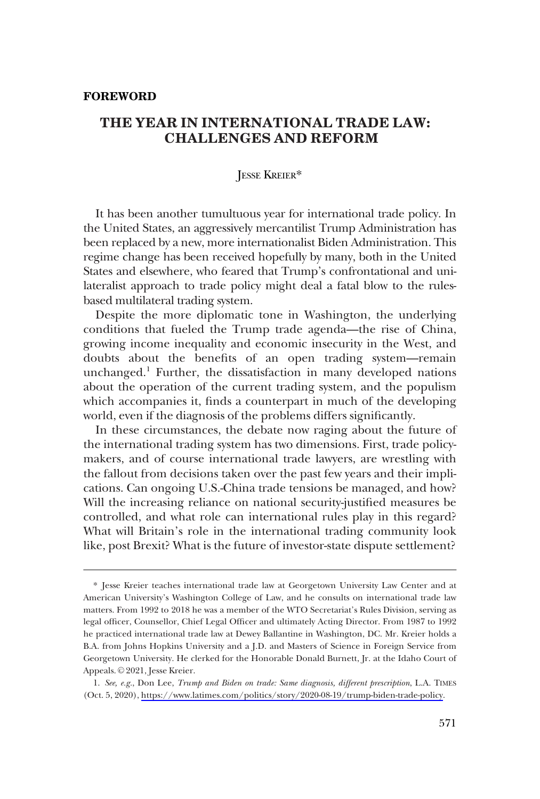### **FOREWORD**

# **THE YEAR IN INTERNATIONAL TRADE LAW: CHALLENGES AND REFORM**

## JESSE KREIER\*

It has been another tumultuous year for international trade policy. In the United States, an aggressively mercantilist Trump Administration has been replaced by a new, more internationalist Biden Administration. This regime change has been received hopefully by many, both in the United States and elsewhere, who feared that Trump's confrontational and unilateralist approach to trade policy might deal a fatal blow to the rulesbased multilateral trading system.

Despite the more diplomatic tone in Washington, the underlying conditions that fueled the Trump trade agenda—the rise of China, growing income inequality and economic insecurity in the West, and doubts about the benefits of an open trading system—remain unchanged.1 Further, the dissatisfaction in many developed nations about the operation of the current trading system, and the populism which accompanies it, finds a counterpart in much of the developing world, even if the diagnosis of the problems differs significantly.

In these circumstances, the debate now raging about the future of the international trading system has two dimensions. First, trade policymakers, and of course international trade lawyers, are wrestling with the fallout from decisions taken over the past few years and their implications. Can ongoing U.S.-China trade tensions be managed, and how? Will the increasing reliance on national security-justified measures be controlled, and what role can international rules play in this regard? What will Britain's role in the international trading community look like, post Brexit? What is the future of investor-state dispute settlement?

<sup>\*</sup> Jesse Kreier teaches international trade law at Georgetown University Law Center and at American University's Washington College of Law, and he consults on international trade law matters. From 1992 to 2018 he was a member of the WTO Secretariat's Rules Division, serving as legal officer, Counsellor, Chief Legal Officer and ultimately Acting Director. From 1987 to 1992 he practiced international trade law at Dewey Ballantine in Washington, DC. Mr. Kreier holds a B.A. from Johns Hopkins University and a J.D. and Masters of Science in Foreign Service from Georgetown University. He clerked for the Honorable Donald Burnett, Jr. at the Idaho Court of Appeals. © 2021, Jesse Kreier.

*See, e.g.*, Don Lee, *Trump and Biden on trade: Same diagnosis, different prescription*, L.A. TIMES 1. (Oct. 5, 2020), [https://www.latimes.com/politics/story/2020-08-19/trump-biden-trade-policy.](https://www.latimes.com/politics/story/2020-08-19/trump-biden-trade-policy)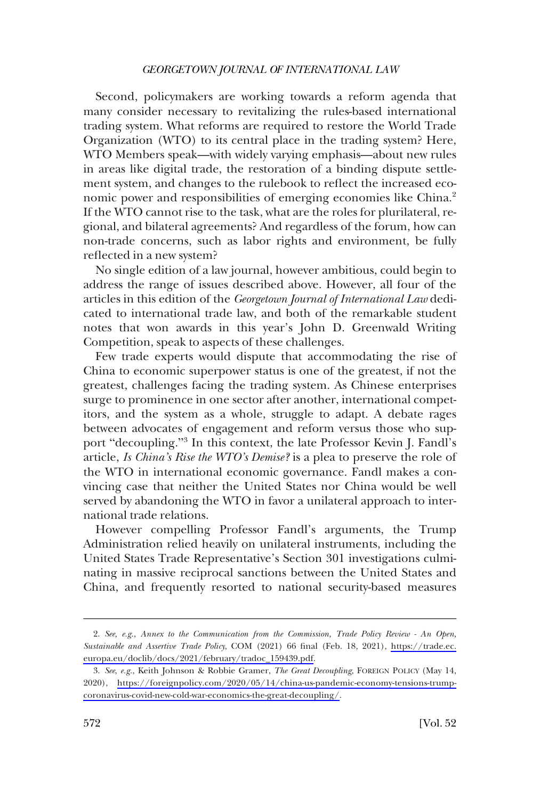#### *GEORGETOWN JOURNAL OF INTERNATIONAL LAW*

Second, policymakers are working towards a reform agenda that many consider necessary to revitalizing the rules-based international trading system. What reforms are required to restore the World Trade Organization (WTO) to its central place in the trading system? Here, WTO Members speak—with widely varying emphasis—about new rules in areas like digital trade, the restoration of a binding dispute settlement system, and changes to the rulebook to reflect the increased economic power and responsibilities of emerging economies like China.<sup>2</sup> If the WTO cannot rise to the task, what are the roles for plurilateral, regional, and bilateral agreements? And regardless of the forum, how can non-trade concerns, such as labor rights and environment, be fully reflected in a new system?

No single edition of a law journal, however ambitious, could begin to address the range of issues described above. However, all four of the articles in this edition of the *Georgetown Journal of International Law* dedicated to international trade law, and both of the remarkable student notes that won awards in this year's John D. Greenwald Writing Competition, speak to aspects of these challenges.

Few trade experts would dispute that accommodating the rise of China to economic superpower status is one of the greatest, if not the greatest, challenges facing the trading system. As Chinese enterprises surge to prominence in one sector after another, international competitors, and the system as a whole, struggle to adapt. A debate rages between advocates of engagement and reform versus those who support "decoupling."<sup>3</sup> In this context, the late Professor Kevin J. Fandl's article, *Is China's Rise the WTO's Demise?* is a plea to preserve the role of the WTO in international economic governance. Fandl makes a convincing case that neither the United States nor China would be well served by abandoning the WTO in favor a unilateral approach to international trade relations.

However compelling Professor Fandl's arguments, the Trump Administration relied heavily on unilateral instruments, including the United States Trade Representative's Section 301 investigations culminating in massive reciprocal sanctions between the United States and China, and frequently resorted to national security-based measures

*See, e.g.*, *Annex to the Communication from the Commission, Trade Policy Review - An Open,*  2. *Sustainable and Assertive Trade Policy*, COM (2021) 66 final (Feb. 18, 2021), [https://trade.ec.](https://trade.ec.europa.eu/doclib/docs/2021/february/tradoc_159439.pdf)  [europa.eu/doclib/docs/2021/february/tradoc\\_159439.pdf](https://trade.ec.europa.eu/doclib/docs/2021/february/tradoc_159439.pdf).

*See*, *e.g.*, Keith Johnson & Robbie Gramer, *The Great Decoupling*, FOREIGN POLICY (May 14, 3. 2020), [https://foreignpolicy.com/2020/05/14/china-us-pandemic-economy-tensions-trump](https://foreignpolicy.com/2020/05/14/china-us-pandemic-economy-tensions-trump-coronavirus-covid-new-cold-war-economics-the-great-decoupling/)[coronavirus-covid-new-cold-war-economics-the-great-decoupling/.](https://foreignpolicy.com/2020/05/14/china-us-pandemic-economy-tensions-trump-coronavirus-covid-new-cold-war-economics-the-great-decoupling/)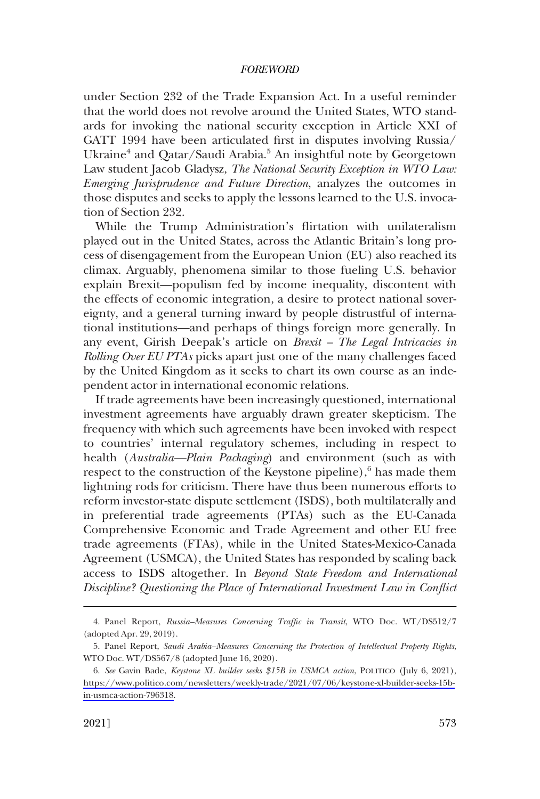#### *FOREWORD*

under Section 232 of the Trade Expansion Act. In a useful reminder that the world does not revolve around the United States, WTO standards for invoking the national security exception in Article XXI of GATT 1994 have been articulated first in disputes involving Russia/ Ukraine<sup>4</sup> and Qatar/Saudi Arabia.<sup>5</sup> An insightful note by Georgetown Law student Jacob Gladysz, *The National Security Exception in WTO Law: Emerging Jurisprudence and Future Direction*, analyzes the outcomes in those disputes and seeks to apply the lessons learned to the U.S. invocation of Section 232.

While the Trump Administration's flirtation with unilateralism played out in the United States, across the Atlantic Britain's long process of disengagement from the European Union (EU) also reached its climax. Arguably, phenomena similar to those fueling U.S. behavior explain Brexit—populism fed by income inequality, discontent with the effects of economic integration, a desire to protect national sovereignty, and a general turning inward by people distrustful of international institutions—and perhaps of things foreign more generally. In any event, Girish Deepak's article on *Brexit – The Legal Intricacies in Rolling Over EU PTAs* picks apart just one of the many challenges faced by the United Kingdom as it seeks to chart its own course as an independent actor in international economic relations.

If trade agreements have been increasingly questioned, international investment agreements have arguably drawn greater skepticism. The frequency with which such agreements have been invoked with respect to countries' internal regulatory schemes, including in respect to health (*Australia—Plain Packaging*) and environment (such as with respect to the construction of the Keystone pipeline),<sup>6</sup> has made them lightning rods for criticism. There have thus been numerous efforts to reform investor-state dispute settlement (ISDS), both multilaterally and in preferential trade agreements (PTAs) such as the EU-Canada Comprehensive Economic and Trade Agreement and other EU free trade agreements (FTAs), while in the United States-Mexico-Canada Agreement (USMCA), the United States has responded by scaling back access to ISDS altogether. In *Beyond State Freedom and International Discipline? Questioning the Place of International Investment Law in Conflict* 

<sup>4.</sup> Panel Report, *Russia–Measures Concerning Traffic in Transit*, WTO Doc. WT/DS512/7 (adopted Apr. 29, 2019).

<sup>5.</sup> Panel Report, *Saudi Arabia–Measures Concerning the Protection of Intellectual Property Rights*, WTO Doc. WT/DS567/8 (adopted June 16, 2020).

*See* Gavin Bade, *Keystone XL builder seeks \$15B in USMCA action*, POLITICO (July 6, 2021), 6. [https://www.politico.com/newsletters/weekly-trade/2021/07/06/keystone-xl-builder-seeks-15b](https://www.politico.com/newsletters/weekly-trade/2021/07/06/keystone-xl-builder-seeks-15b-in-usmca-action-796318)[in-usmca-action-796318](https://www.politico.com/newsletters/weekly-trade/2021/07/06/keystone-xl-builder-seeks-15b-in-usmca-action-796318).